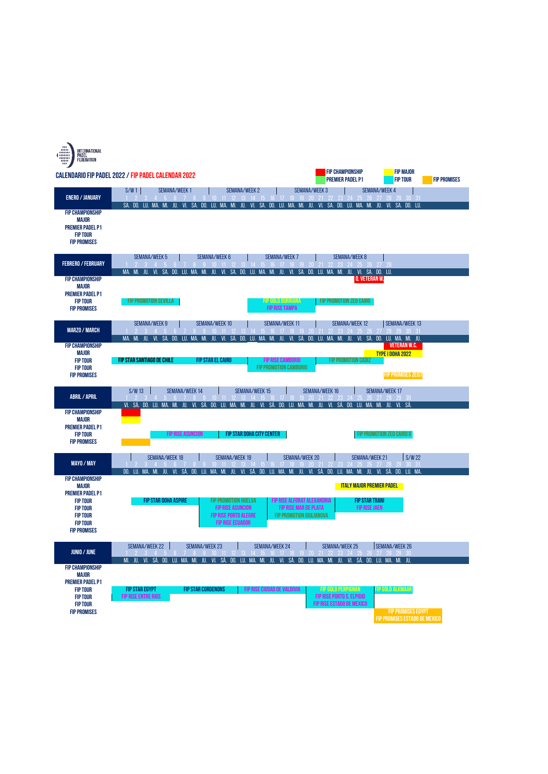| INTERNATIONAL<br>PADEL<br>FEDERATION<br>w                                                               |                                                                                                                                                                                                                                                                                                                                                                                      |
|---------------------------------------------------------------------------------------------------------|--------------------------------------------------------------------------------------------------------------------------------------------------------------------------------------------------------------------------------------------------------------------------------------------------------------------------------------------------------------------------------------|
|                                                                                                         | <b>FIP CHAMPIONSHIP</b><br><b>FIP MAJOR</b><br>CALENDARIO FIP PADEL 2022 / FIP PADEL CALENDAR 2022<br><b>PREMIER PADEL P1</b><br><b>FIP TOUR</b><br><b>FIP PROMISES</b>                                                                                                                                                                                                              |
| <b>ENERO / JANUARY</b>                                                                                  | S/W1<br><b>SEMANA/WEEK1</b><br><b>SEMANA/WEEK3</b><br><b>SEMANA/WEEK 4</b><br><b>SEMANA/WEEK 2</b><br>5 6 7 8 9 10 11 12 13 14 15 16 17 18 19 20 21 22<br>26 27 28 29 30 31                                                                                                                                                                                                          |
| <b>FIP CHAMPIONSHIP</b><br>MAJOR<br><b>PREMIER PADEL P1</b><br><b>FIP TOUR</b><br><b>FIP PROMISES</b>   | SA. DO. LU. MA.<br>SA. DO. LU. MA. MI.<br>JU.<br>VI.<br>SA.<br><b>DO.</b> LU.<br>MA.<br>JU.<br>VI.<br>MI.<br>JU.<br>VI.<br>SA.<br><b>DO. LU. MA.</b><br>MI.<br>JU.<br>VI. SA. DO. LU.<br>MI.                                                                                                                                                                                         |
| <b>FEBRERO / FEBRUARY</b>                                                                               | <b>SEMANA/WEEK8</b><br><b>SEMANA/WEEK 5</b><br>SEMANA/WEEK 6<br><b>SEMANA/WEEK7</b><br>$1 \t2 \t3 \t4 \t5$<br>9 10 11 12 13<br>15 16 17 18 19 20<br>22 23 24 25 26 27                                                                                                                                                                                                                |
| <b>FIP CHAMPIONSHIP</b><br>MAJOR                                                                        | VI. SA. DO. LU.<br>VI. SA. DO. LU.<br>VI. SA. DO. LU. MA. MI.<br>JU.<br>MA. MI.<br>JU.<br>VI.<br>SA. DO. LU. MA. MI.<br>MA. MI.<br>JU.<br>JU.<br>Q. VETERAN W.                                                                                                                                                                                                                       |
| <b>PREMIER PADEL P1</b><br><b>FIP TOUR</b><br><b>FIP PROMISES</b>                                       | <b>FIP GOLD BURRIANA</b><br>FIP PROMOTION SEVILLA<br>FIP PROMOTION ZED CAIRO<br><b>FIP RISE TAMPA</b>                                                                                                                                                                                                                                                                                |
| <b>MARZO / MARCH</b>                                                                                    | SEMANA/WEEK 10<br><b>SEMANA/WEEK 11</b><br><b>SEMANA/WEEK13</b><br><b>SEMANA/WEEK 9</b><br><b>SEMANA/WEEK12</b><br>$1 \t2 \t3 \t4 \t5$<br>9 10 11 12 13 14 15 16 17 18 19 20<br>23 24 25 26<br>28 29 30 31                                                                                                                                                                           |
| <b>FIP CHAMPIONSHIP</b><br>MAJOR<br><b>FIP TOUR</b><br><b>FIP TOUR</b><br><b>FIP PROMISES</b>           | JU. VI. SÁ. DO. LU.<br>MA. MI. JU. VI. SÁ.<br>JU. VI. SÁ. DO. LU. MA. MI. JU.<br>MA. MI. JU.<br>VI. SÁ.<br><b>DO. LU. MA. MI.</b><br><b>DO. LU.</b><br>MA. MI.<br><b>VETERAN W.C.</b><br>TYPE I DOHA 2022<br><b>FIP STAR SANTIAGO DE CHILE</b><br><b>FIP STAR EL CAIRO</b><br><b>FIP RISE CAMBORIU</b><br>FIP PROMOTION CADIZ<br>FIP PROMOTION CAMBORIU<br><b>FIP PROMISES ZEIST</b> |
| <b>ABRIL / APRIL</b>                                                                                    | $S/W$ 13<br>SEMANA/WEEK 14<br><b>SEMANA/WEEK 15</b><br><b>SEMANA/WEEK 16</b><br><b>SEMANA/WEEK 17</b><br>12 13 14 15 16 17 18<br>78<br>9 10 11<br>-20<br>-28<br>29 30<br>26                                                                                                                                                                                                          |
| <b>FIP CHAMPIONSHIP</b><br>MAJOR<br><b>PREMIER PADEL P1</b><br><b>FIP TOUR</b><br><b>FIP PROMISES</b>   | VI. SÁ.<br>MA.<br>VI. SÁ.<br>VI. SÁ. DO.<br>MA. MI.<br>SÁ.<br>DO.<br>LU. MA. MI.<br>JU.<br>DO.<br>LU.<br>JU.<br>SÁ.<br>LU.<br>MA. MI.<br>JU.<br>LU.<br>JU.<br>VI.<br>MI.<br>VI.<br>DO.<br>FIP STAR DOHA CITY CENTER<br>FIP PROMOTION ZED CAIRO II<br><b>FIP RISE ASUNCION</b>                                                                                                        |
| <b>MAYO / MAY</b>                                                                                       | <b>SEMANA/WEEK 18</b><br><b>SEMANA/WEEK 19</b><br>SEMANA/WEEK 20<br><b>SEMANA/WEEK 21</b><br>S/W22<br>11 12 13 14<br>-19<br>-25<br>26<br>-27<br>-31<br>JU. VI. SÁ.<br>DO. LU. MA<br>DO.<br>LU. MA.<br>JU. VI. SÁ.<br>DO.<br>MA.<br>MI.<br>JU. VI. SÁ.<br>DO.<br>LU.<br>MA. MI.<br>DO.<br>LU.<br>MA. MI. JU. VI. SÁ.<br>MI.<br>LU.                                                    |
| <b>FIP CHAMPIONSHIP</b><br>MAJOR<br><b>PREMIER PADEL P1</b>                                             | <b>ITALY MAJOR PREMIER PADEL</b>                                                                                                                                                                                                                                                                                                                                                     |
| <b>FIP TOUR</b><br><b>FIP TOUR</b><br><b>FIP TOUR</b><br><b>FIP TOUR</b><br><b>FIP PROMISES</b>         | FIP STAR DOHA ASPIRE<br><b>FIP PROMOTION HUELVA</b><br>FIP RISE ALFORAT ALEXANDRIA<br><b>FIP STAR TRANI</b><br><b>FIP RISE ASUNCION</b><br>FIP RISE MAR DE PLATA<br><b>FIP RISE JAEN</b><br><b>FIP PROMOTION GIULIANOVA</b><br><b>FIP RISE PORTO ALEGRE</b><br><b>FIP RISE ECUADOR</b>                                                                                               |
| <b>JUNIO / JUNE</b>                                                                                     | SEMANA/WEEK 22<br>SEMANA/WEEK 25<br>SEMANA/WEEK 26<br>SEMANA/WEEK 23<br><b>SEMANA/WEEK 24</b><br>3 4 5 6 7 8 9 10 11 12 13 14 15 16 17 18 19 20 21 22 23 24 25 26 27 28 29 30                                                                                                                                                                                                        |
| <b>FIP CHAMPIONSHIP</b><br>MAJOR                                                                        | MI. JU. VI. SÁ. DO. LU. MA. MI. JU. VI. SÁ. DO. LU. MA. MI. JU. VI. SÁ. DO. LU. MA. MI. JU. VI. SÁ. DO. LU. MA. MI. JU.                                                                                                                                                                                                                                                              |
| <b>PREMIER PADEL P1</b><br><b>FIP TOUR</b><br><b>FIP TOUR</b><br><b>FIP TOUR</b><br><b>FIP PROMISES</b> | <b>FIP STAR EGYPT</b><br><b>FIP STAR CORDENONS</b><br>FIP RISE CIUDAD DE VALDIVIA<br><b>FIP GOLD PERPIGNAN</b><br>FIP GOLD ALKMAAR<br>FIP RISE PORTO S. ELPIDIO<br><b>FIP RISE ENTRE RIOS</b><br>FIP RISE ESTADO DE MEXICO<br><b>FIP PROMISES EGYPT</b>                                                                                                                              |
|                                                                                                         | FIP PROMISES ESTADO DE MEXICO                                                                                                                                                                                                                                                                                                                                                        |